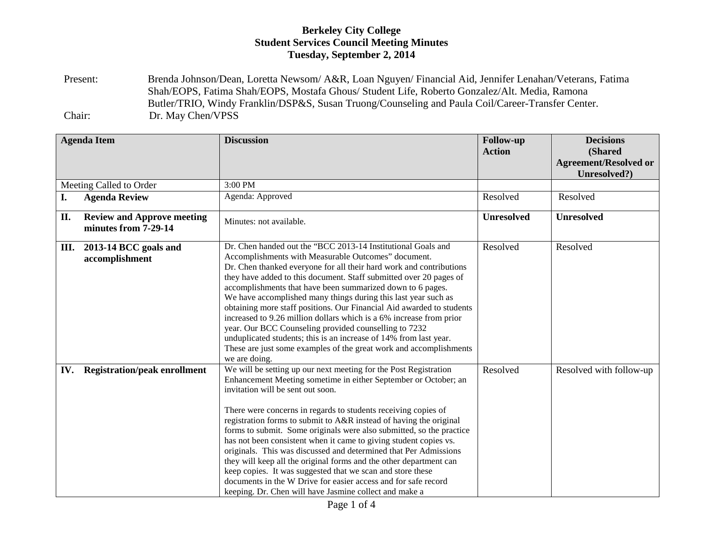Present: Brenda Johnson/Dean, Loretta Newsom/ A&R, Loan Nguyen/ Financial Aid, Jennifer Lenahan/Veterans, Fatima Shah/EOPS, Fatima Shah/EOPS, Mostafa Ghous/ Student Life, Roberto Gonzalez/Alt. Media, Ramona Butler/TRIO, Windy Franklin/DSP&S, Susan Truong/Counseling and Paula Coil/Career-Transfer Center. Chair: Dr. May Chen/VPSS

|                         | <b>Agenda Item</b>                                        | <b>Discussion</b>                                                                                                                                                                                                                                                                                                                                                                                                                                                                                                                                                                                                                                                                                                                                                                                 | <b>Follow-up</b><br><b>Action</b> | <b>Decisions</b><br>(Shared<br><b>Agreement/Resolved or</b><br>Unresolved?) |
|-------------------------|-----------------------------------------------------------|---------------------------------------------------------------------------------------------------------------------------------------------------------------------------------------------------------------------------------------------------------------------------------------------------------------------------------------------------------------------------------------------------------------------------------------------------------------------------------------------------------------------------------------------------------------------------------------------------------------------------------------------------------------------------------------------------------------------------------------------------------------------------------------------------|-----------------------------------|-----------------------------------------------------------------------------|
| Meeting Called to Order |                                                           | 3:00 PM                                                                                                                                                                                                                                                                                                                                                                                                                                                                                                                                                                                                                                                                                                                                                                                           |                                   |                                                                             |
| I.                      | <b>Agenda Review</b>                                      | Agenda: Approved                                                                                                                                                                                                                                                                                                                                                                                                                                                                                                                                                                                                                                                                                                                                                                                  | Resolved                          | Resolved                                                                    |
| II.                     | <b>Review and Approve meeting</b><br>minutes from 7-29-14 | Minutes: not available.                                                                                                                                                                                                                                                                                                                                                                                                                                                                                                                                                                                                                                                                                                                                                                           | <b>Unresolved</b>                 | <b>Unresolved</b>                                                           |
| III.                    | 2013-14 BCC goals and<br>accomplishment                   | Dr. Chen handed out the "BCC 2013-14 Institutional Goals and<br>Accomplishments with Measurable Outcomes" document.<br>Dr. Chen thanked everyone for all their hard work and contributions<br>they have added to this document. Staff submitted over 20 pages of<br>accomplishments that have been summarized down to 6 pages.<br>We have accomplished many things during this last year such as<br>obtaining more staff positions. Our Financial Aid awarded to students<br>increased to 9.26 million dollars which is a 6% increase from prior<br>year. Our BCC Counseling provided counselling to 7232<br>unduplicated students; this is an increase of 14% from last year.<br>These are just some examples of the great work and accomplishments<br>we are doing.                             | Resolved                          | Resolved                                                                    |
| IV.                     | <b>Registration/peak enrollment</b>                       | We will be setting up our next meeting for the Post Registration<br>Enhancement Meeting sometime in either September or October; an<br>invitation will be sent out soon.<br>There were concerns in regards to students receiving copies of<br>registration forms to submit to A&R instead of having the original<br>forms to submit. Some originals were also submitted, so the practice<br>has not been consistent when it came to giving student copies vs.<br>originals. This was discussed and determined that Per Admissions<br>they will keep all the original forms and the other department can<br>keep copies. It was suggested that we scan and store these<br>documents in the W Drive for easier access and for safe record<br>keeping. Dr. Chen will have Jasmine collect and make a | Resolved                          | Resolved with follow-up                                                     |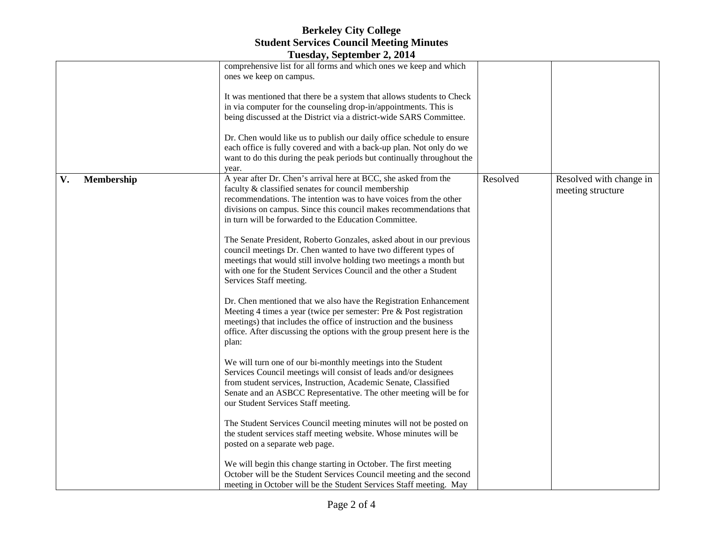|                  | $10$ csuay, ocpicinoci $2$ , $2017$                                                                                                                                                                                                                                                                                       |          |                                              |
|------------------|---------------------------------------------------------------------------------------------------------------------------------------------------------------------------------------------------------------------------------------------------------------------------------------------------------------------------|----------|----------------------------------------------|
|                  | comprehensive list for all forms and which ones we keep and which<br>ones we keep on campus.                                                                                                                                                                                                                              |          |                                              |
|                  | It was mentioned that there be a system that allows students to Check<br>in via computer for the counseling drop-in/appointments. This is<br>being discussed at the District via a district-wide SARS Committee.                                                                                                          |          |                                              |
|                  | Dr. Chen would like us to publish our daily office schedule to ensure<br>each office is fully covered and with a back-up plan. Not only do we<br>want to do this during the peak periods but continually throughout the<br>year.                                                                                          |          |                                              |
| Membership<br>V. | A year after Dr. Chen's arrival here at BCC, she asked from the<br>faculty & classified senates for council membership<br>recommendations. The intention was to have voices from the other<br>divisions on campus. Since this council makes recommendations that<br>in turn will be forwarded to the Education Committee. | Resolved | Resolved with change in<br>meeting structure |
|                  | The Senate President, Roberto Gonzales, asked about in our previous<br>council meetings Dr. Chen wanted to have two different types of<br>meetings that would still involve holding two meetings a month but<br>with one for the Student Services Council and the other a Student<br>Services Staff meeting.              |          |                                              |
|                  | Dr. Chen mentioned that we also have the Registration Enhancement<br>Meeting 4 times a year (twice per semester: Pre & Post registration<br>meetings) that includes the office of instruction and the business<br>office. After discussing the options with the group present here is the<br>plan:                        |          |                                              |
|                  | We will turn one of our bi-monthly meetings into the Student<br>Services Council meetings will consist of leads and/or designees<br>from student services, Instruction, Academic Senate, Classified<br>Senate and an ASBCC Representative. The other meeting will be for<br>our Student Services Staff meeting.           |          |                                              |
|                  | The Student Services Council meeting minutes will not be posted on<br>the student services staff meeting website. Whose minutes will be<br>posted on a separate web page.                                                                                                                                                 |          |                                              |
|                  | We will begin this change starting in October. The first meeting<br>October will be the Student Services Council meeting and the second<br>meeting in October will be the Student Services Staff meeting. May                                                                                                             |          |                                              |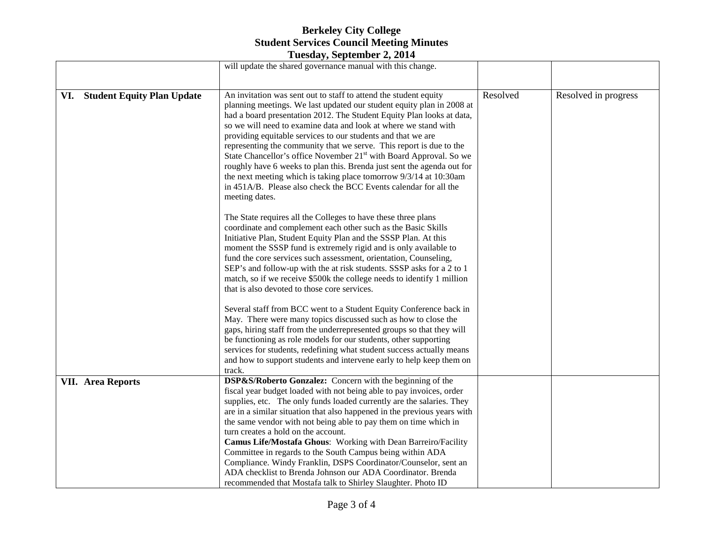| $10$ ucsuay, or pictured $2, 201$        |                                                                                                                                                                                                                                                                                                                                                                                                                                                                                                                                                                                                                                                                                                                                                     |          |                      |  |  |  |
|------------------------------------------|-----------------------------------------------------------------------------------------------------------------------------------------------------------------------------------------------------------------------------------------------------------------------------------------------------------------------------------------------------------------------------------------------------------------------------------------------------------------------------------------------------------------------------------------------------------------------------------------------------------------------------------------------------------------------------------------------------------------------------------------------------|----------|----------------------|--|--|--|
|                                          | will update the shared governance manual with this change.                                                                                                                                                                                                                                                                                                                                                                                                                                                                                                                                                                                                                                                                                          |          |                      |  |  |  |
|                                          |                                                                                                                                                                                                                                                                                                                                                                                                                                                                                                                                                                                                                                                                                                                                                     |          |                      |  |  |  |
| <b>Student Equity Plan Update</b><br>VI. | An invitation was sent out to staff to attend the student equity<br>planning meetings. We last updated our student equity plan in 2008 at<br>had a board presentation 2012. The Student Equity Plan looks at data,<br>so we will need to examine data and look at where we stand with<br>providing equitable services to our students and that we are<br>representing the community that we serve. This report is due to the<br>State Chancellor's office November 21 <sup>st</sup> with Board Approval. So we<br>roughly have 6 weeks to plan this. Brenda just sent the agenda out for<br>the next meeting which is taking place tomorrow 9/3/14 at 10:30am<br>in 451A/B. Please also check the BCC Events calendar for all the<br>meeting dates. | Resolved | Resolved in progress |  |  |  |
|                                          | The State requires all the Colleges to have these three plans<br>coordinate and complement each other such as the Basic Skills<br>Initiative Plan, Student Equity Plan and the SSSP Plan. At this<br>moment the SSSP fund is extremely rigid and is only available to<br>fund the core services such assessment, orientation, Counseling,<br>SEP's and follow-up with the at risk students. SSSP asks for a 2 to 1<br>match, so if we receive \$500k the college needs to identify 1 million<br>that is also devoted to those core services.                                                                                                                                                                                                        |          |                      |  |  |  |
|                                          | Several staff from BCC went to a Student Equity Conference back in<br>May. There were many topics discussed such as how to close the<br>gaps, hiring staff from the underrepresented groups so that they will<br>be functioning as role models for our students, other supporting<br>services for students, redefining what student success actually means<br>and how to support students and intervene early to help keep them on<br>track.                                                                                                                                                                                                                                                                                                        |          |                      |  |  |  |
| <b>VII.</b> Area Reports                 | DSP&S/Roberto Gonzalez: Concern with the beginning of the<br>fiscal year budget loaded with not being able to pay invoices, order<br>supplies, etc. The only funds loaded currently are the salaries. They<br>are in a similar situation that also happened in the previous years with<br>the same vendor with not being able to pay them on time which in<br>turn creates a hold on the account.<br>Camus Life/Mostafa Ghous: Working with Dean Barreiro/Facility<br>Committee in regards to the South Campus being within ADA<br>Compliance. Windy Franklin, DSPS Coordinator/Counselor, sent an<br>ADA checklist to Brenda Johnson our ADA Coordinator. Brenda<br>recommended that Mostafa talk to Shirley Slaughter. Photo ID                   |          |                      |  |  |  |